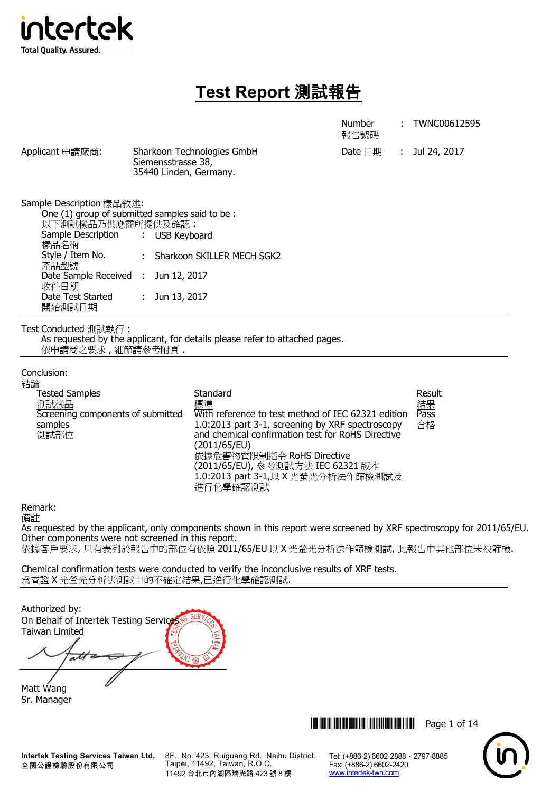

# **Test Report** 測試報告

|                                                                                                                                                                                                                             |                                                                                           |                                                                                                                                                                                                                                                                 | <b>Number</b><br>報告號碼 | TWNC00612595               |
|-----------------------------------------------------------------------------------------------------------------------------------------------------------------------------------------------------------------------------|-------------------------------------------------------------------------------------------|-----------------------------------------------------------------------------------------------------------------------------------------------------------------------------------------------------------------------------------------------------------------|-----------------------|----------------------------|
| Applicant 申請廠商:                                                                                                                                                                                                             | Siemensstrasse 38,<br>35440 Linden, Germany.                                              | Sharkoon Technologies GmbH                                                                                                                                                                                                                                      | Date $\boxminus$ 期    | : Jul 24, 2017             |
| Sample Description 樣品敘述:<br>One (1) group of submitted samples said to be :<br>以下測試樣品乃供應商所提供及確認:<br>Sample Description<br>樣品名稱<br>Style / Item No.<br>產品型號<br>Date Sample Received :<br>收件日期<br>Date Test Started<br>開始測試日期 | $\mathcal{L}_{\mathrm{max}}$<br><b>USB Keyboard</b><br>Jun 12, 2017<br>Jun 13, 2017<br>÷. | : Sharkoon SKILLER MECH SGK2                                                                                                                                                                                                                                    |                       |                            |
| Test Conducted 測試執行:<br>依申請商之要求,細節請參考附頁.                                                                                                                                                                                    |                                                                                           | As requested by the applicant, for details please refer to attached pages.                                                                                                                                                                                      |                       |                            |
| Conclusion:<br>結論<br><b>Tested Samples</b><br>測試樣品<br>Screening components of submitted<br>samples<br>測試部位                                                                                                                  |                                                                                           | Standard<br>標準<br>With reference to test method of IEC 62321 edition<br>1.0:2013 part 3-1, screening by XRF spectroscopy<br>and chemical confirmation test for RoHS Directive<br>(2011/65/EU)<br>依據危害物質限制指令 RoHS Directive<br>(2011/65/EU), 參考測試方法 IEC 62321 版本 |                       | Result<br>結果<br>Pass<br>合格 |

Remark:

備註

As requested by the applicant, only components shown in this report were screened by XRF spectroscopy for 2011/65/EU. Other components were not screened in this report. 依據客戶要求, 只有表列於報告中的部位有依照 2011/65/EU 以 X 光螢光分析法作篩檢測試, 此報告中其他部位未被篩檢.

1.0:2013 part 3-1,以 X 光螢光分析法作篩檢測試及

Chemical confirmation tests were conducted to verify the inconclusive results of XRF tests. 為查證 X 光螢光分析法測試中的不確定結果,已進行化學確認測試.

進行化學確認測試

Authorized by: On Behalf of Intertek Testing Service Taiwan Limited atte

Matt Wang Sr. Manager

**Intertek Testing Services Taiwan Ltd.** 全國公證檢驗股份有限公司

8F., No. 423, Ruiguang Rd., Neihu District, Taipei, 11492, Taiwan, R.O.C. 11492 台北市內湖區瑞光路 423 號 8 樓

**THEFT THEFT THEFT THEFT THEFT THEFT Page 1 of 14** 

Tel: (+886-2) 6602-2888 · 2797-8885

Fax: (+886-2) 6602-2420 www.intertek-twn.com

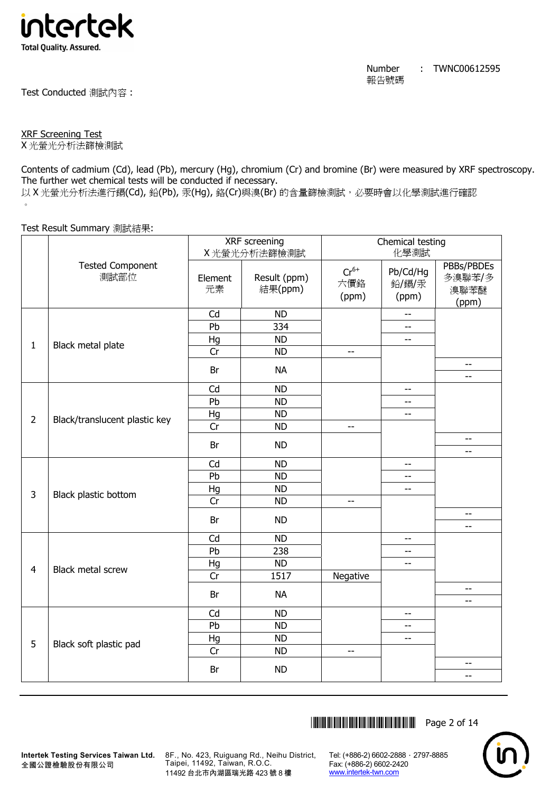

Test Conducted 測試內容 :

XRF Screening Test

X 光螢光分析法篩檢測試

Contents of cadmium (Cd), lead (Pb), mercury (Hg), chromium (Cr) and bromine (Br) were measured by XRF spectroscopy. The further wet chemical tests will be conducted if necessary. 以 X 光螢光分析法進行鎘(Cd), 鉛(Pb), 汞(Hq), 鉻(Cr)與溴(Br) 的含量篩檢測試, 必要時會以化學測試進行確認  $\circ$ 

Test Result Summary 測試結果:

|                |                                 | XRF screening  |                         | Chemical testing          |                            |                                 |
|----------------|---------------------------------|----------------|-------------------------|---------------------------|----------------------------|---------------------------------|
|                |                                 |                | X光螢光分析法篩檢測試             |                           | 化學測試                       |                                 |
|                | <b>Tested Component</b><br>測試部位 | Element<br>元素  | Result (ppm)<br>結果(ppm) | $Cr^{6+}$<br>六價鉻<br>(ppm) | Pb/Cd/Hg<br>鉛/鎘/汞<br>(ppm) | PBBs/PBDEs<br>多溴聯苯/多<br>溴聯苯醚    |
|                |                                 |                |                         |                           |                            | (ppm)                           |
|                |                                 | Cd             | <b>ND</b>               |                           |                            |                                 |
|                |                                 | $\overline{P}$ | 334                     |                           |                            |                                 |
| $\mathbf{1}$   | Black metal plate               | Hg             | <b>ND</b>               |                           | $-$                        |                                 |
|                |                                 | Cr             | <b>ND</b>               | $-$                       |                            |                                 |
|                |                                 | Br             | <b>NA</b>               |                           |                            | --<br>--                        |
|                |                                 | Cd             | <b>ND</b>               |                           | $\overline{\phantom{a}}$   |                                 |
|                |                                 | Pb             | <b>ND</b>               |                           | $- -$                      |                                 |
| $\overline{2}$ |                                 | Hg             | <b>ND</b>               |                           | $-$                        |                                 |
|                | Black/translucent plastic key   | Cr             | <b>ND</b>               | $\overline{\phantom{a}}$  |                            |                                 |
|                |                                 | Br             | <b>ND</b>               |                           |                            | $- -$<br>--                     |
|                |                                 | Cd             | <b>ND</b>               |                           | $-$                        |                                 |
|                |                                 | Pb             | <b>ND</b>               |                           | $-$                        |                                 |
|                |                                 | Hg             | <b>ND</b>               |                           | $-$                        |                                 |
| $\overline{3}$ | Black plastic bottom            | Cr             | <b>ND</b>               | $-$                       |                            |                                 |
|                |                                 | Br             | <b>ND</b>               |                           |                            | $\overline{\phantom{m}}$<br>$-$ |
|                |                                 | Cd             | <b>ND</b>               |                           | $-$                        |                                 |
|                |                                 | Pb             | 238                     |                           | $-$                        |                                 |
|                |                                 | Hg             | <b>ND</b>               |                           | $\overline{\phantom{a}}$   |                                 |
| $\overline{4}$ | Black metal screw               | Cr             | 1517                    | Negative                  |                            |                                 |
|                |                                 | Br             | <b>NA</b>               |                           |                            | $-\!$                           |
|                |                                 |                |                         |                           |                            | $-$                             |
|                |                                 | Cd             | <b>ND</b>               |                           | $- -$                      |                                 |
|                |                                 | Pb             | <b>ND</b>               |                           | $-$                        |                                 |
| 5              | Black soft plastic pad          | Hg             | <b>ND</b>               |                           | $-$                        |                                 |
|                |                                 | Cr             | <b>ND</b>               | $\overline{\phantom{a}}$  |                            |                                 |
|                |                                 | Br             | <b>ND</b>               |                           |                            | $-$<br>$-$                      |
|                |                                 |                |                         |                           |                            |                                 |

\*THJ0612595\* Page 2 of 14



**Intertek Testing Services Taiwan Ltd.** 全國公證檢驗股份有限公司

8F., No. 423, Ruiguang Rd., Neihu District, Taipei, 11492, Taiwan, R.O.C. 11492 台北市內湖區瑞光路 423 號 8 樓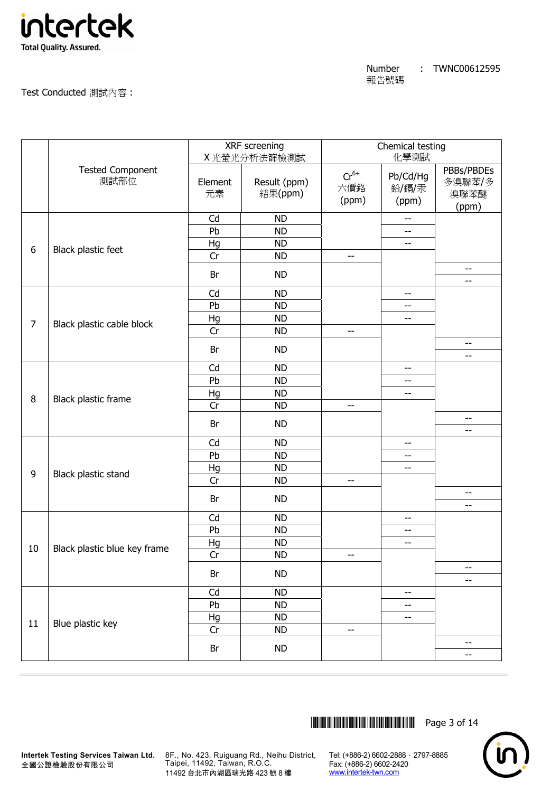

Test Conducted 測試內容 :

|                |                                 |               | XRF screening<br>X光螢光分析法篩檢測試 | Chemical testing<br>化學測試  |                            |                                       |
|----------------|---------------------------------|---------------|------------------------------|---------------------------|----------------------------|---------------------------------------|
|                | <b>Tested Component</b><br>測試部位 | Element<br>元素 | Result (ppm)<br>結果(ppm)      | $Cr^{6+}$<br>六價鉻<br>(ppm) | Pb/Cd/Hg<br>鉛/鎘/汞<br>(ppm) | PBBs/PBDEs<br>多溴聯苯/多<br>溴聯苯醚<br>(ppm) |
|                |                                 | Cd            | <b>ND</b>                    |                           | $- -$                      |                                       |
|                |                                 | Pb            | <b>ND</b>                    |                           | $-$                        |                                       |
| 6              | Black plastic feet              | Hg            | <b>ND</b>                    |                           | --                         |                                       |
|                |                                 | Cr            | <b>ND</b>                    | $-$                       |                            |                                       |
|                |                                 | Br            | <b>ND</b>                    |                           |                            | $-$<br>$-$                            |
|                |                                 | Cd            | <b>ND</b>                    |                           | $- -$                      |                                       |
|                |                                 | Pb            | <b>ND</b>                    |                           | --                         |                                       |
|                |                                 | Hg            | <b>ND</b>                    |                           | $-$                        |                                       |
| $\overline{7}$ | Black plastic cable block       | Cr            | <b>ND</b>                    | $- \, -$                  |                            |                                       |
|                |                                 | Br            | <b>ND</b>                    |                           |                            | $\overline{\phantom{m}}$<br>--        |
|                |                                 | Cd            | <b>ND</b>                    |                           | --                         |                                       |
|                |                                 | Pb            | <b>ND</b>                    |                           | --                         |                                       |
|                |                                 | Hg            | <b>ND</b>                    |                           | --                         |                                       |
| 8              | Black plastic frame             | Cr            | <b>ND</b>                    | $\overline{\phantom{a}}$  |                            |                                       |
|                |                                 |               |                              |                           |                            | $-$                                   |
|                |                                 | Br            | <b>ND</b>                    |                           |                            | --                                    |
|                |                                 | Cd            | <b>ND</b>                    |                           | --                         |                                       |
|                |                                 | Pb            | <b>ND</b>                    |                           | --                         |                                       |
| 9              | Black plastic stand             | Hg            | <b>ND</b>                    |                           | --                         |                                       |
|                |                                 | Cr            | <b>ND</b>                    | $-$                       |                            |                                       |
|                |                                 | Br            | <b>ND</b>                    |                           |                            | --<br>--                              |
|                |                                 | Cd            | <b>ND</b>                    |                           | $- -$                      |                                       |
|                |                                 | Pb            | <b>ND</b>                    |                           | --                         |                                       |
|                |                                 | Hg            | <b>ND</b>                    |                           | --                         |                                       |
| 10             | Black plastic blue key frame    | Cr            | <b>ND</b>                    | --                        |                            |                                       |
|                |                                 | Br            | <b>ND</b>                    |                           |                            | --                                    |
|                |                                 |               |                              |                           |                            | --                                    |
|                |                                 | Cd            | <b>ND</b>                    |                           | $- -$                      |                                       |
|                |                                 | Pb            | <b>ND</b>                    |                           | --                         |                                       |
| 11             | Blue plastic key                | Hg            | <b>ND</b>                    |                           | --                         |                                       |
|                |                                 | Cr            | <b>ND</b>                    | $- \, -$                  |                            |                                       |
|                |                                 | Br            | <b>ND</b>                    |                           |                            | $\overline{\phantom{a}}$<br>$-$       |
|                |                                 |               |                              |                           |                            |                                       |



**Intertek Testing Services Taiwan Ltd.** 8F., No. 423, Ruiguang Rd., Neihu District, Taipei, 11492, Taiwan, R.O.C. 11492 台北市內湖區瑞光路 423 號 8 樓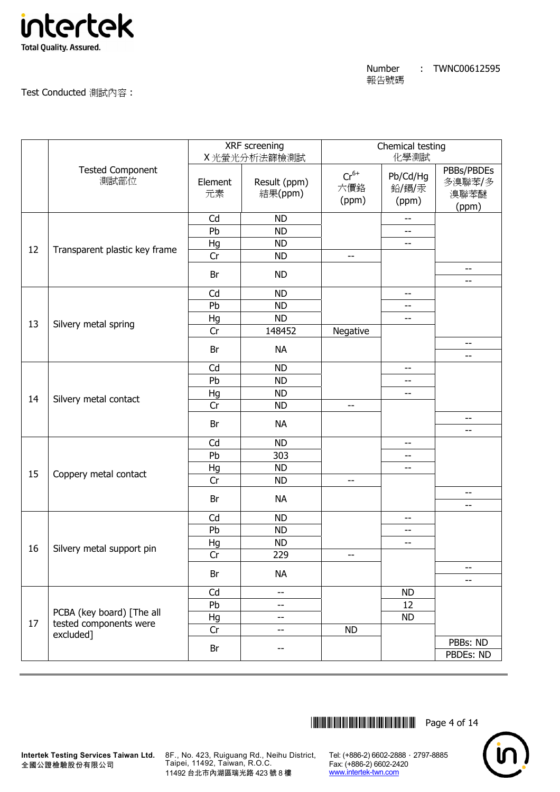

Test Conducted 測試內容 :

|    |                                 |               | XRF screening<br>X光螢光分析法篩檢測試 | Chemical testing<br>化學測試  |                            |                                       |
|----|---------------------------------|---------------|------------------------------|---------------------------|----------------------------|---------------------------------------|
|    | <b>Tested Component</b><br>測試部位 | Element<br>元素 | Result (ppm)<br>結果(ppm)      | $Cr^{6+}$<br>六價鉻<br>(ppm) | Pb/Cd/Hg<br>鉛/鎘/汞<br>(ppm) | PBBs/PBDEs<br>多溴聯苯/多<br>溴聯苯醚<br>(ppm) |
|    |                                 | Cd            | <b>ND</b>                    |                           | $-$                        |                                       |
|    |                                 | Pb            | <b>ND</b>                    |                           | $-$                        |                                       |
| 12 | Transparent plastic key frame   | Hg            | <b>ND</b>                    |                           | $-$                        |                                       |
|    |                                 | Cr            | <b>ND</b>                    | $-$                       |                            |                                       |
|    |                                 | Br            | <b>ND</b>                    |                           |                            | --<br>--                              |
|    |                                 | Cd            | <b>ND</b>                    |                           | $- -$                      |                                       |
|    |                                 | Pb            | <b>ND</b>                    |                           | $-$                        |                                       |
|    |                                 | Hg            | <b>ND</b>                    |                           | $\qquad \qquad -$          |                                       |
| 13 | Silvery metal spring            | Cr            | 148452                       | Negative                  |                            |                                       |
|    |                                 | Br            | <b>NA</b>                    |                           |                            | $\overline{\phantom{m}}$<br>$-$       |
|    |                                 | Cd            | <b>ND</b>                    |                           | --                         |                                       |
|    |                                 | Pb            | <b>ND</b>                    |                           | --                         |                                       |
|    |                                 | Hg            | <b>ND</b>                    |                           | $\qquad \qquad -$          |                                       |
| 14 | Silvery metal contact           | Cr            | <b>ND</b>                    | $\overline{\phantom{m}}$  |                            |                                       |
|    |                                 | Br            | <b>NA</b>                    |                           |                            | --                                    |
|    |                                 |               |                              |                           |                            | $-$                                   |
|    |                                 | Cd<br>Pb      | <b>ND</b>                    |                           | --                         |                                       |
|    |                                 |               | 303                          |                           | --                         |                                       |
| 15 | Coppery metal contact           | Hg            | <b>ND</b>                    |                           | $- -$                      |                                       |
|    |                                 | Cr            | <b>ND</b>                    | $-$                       |                            |                                       |
|    |                                 | Br            | <b>NA</b>                    |                           |                            | --<br>--                              |
|    |                                 | Cd            | <b>ND</b>                    |                           | $-$                        |                                       |
|    |                                 | Pb            | <b>ND</b>                    |                           | $- -$                      |                                       |
| 16 | Silvery metal support pin       | Hg            | <b>ND</b>                    |                           | $\qquad \qquad -$          |                                       |
|    |                                 | Cr            | 229                          | --                        |                            |                                       |
|    |                                 | Br            | <b>NA</b>                    |                           |                            | --<br>$-$                             |
|    |                                 | Cd            | $-$                          |                           | <b>ND</b>                  |                                       |
|    |                                 | Pb            | --                           |                           | 12                         |                                       |
|    | PCBA (key board) [The all       | Hg            | --                           |                           | <b>ND</b>                  |                                       |
| 17 | tested components were          | Cr            | --                           | <b>ND</b>                 |                            |                                       |
|    | excluded]                       | Br            | --                           |                           |                            | PBBs: ND<br>PBDEs: ND                 |
|    |                                 |               |                              |                           |                            |                                       |



**Intertek Testing Services Taiwan Ltd.** 8F., No. 423, Ruiguang Rd., Neihu District, Taipei, 11492, Taiwan, R.O.C. 11492 台北市內湖區瑞光路 423 號 8 樓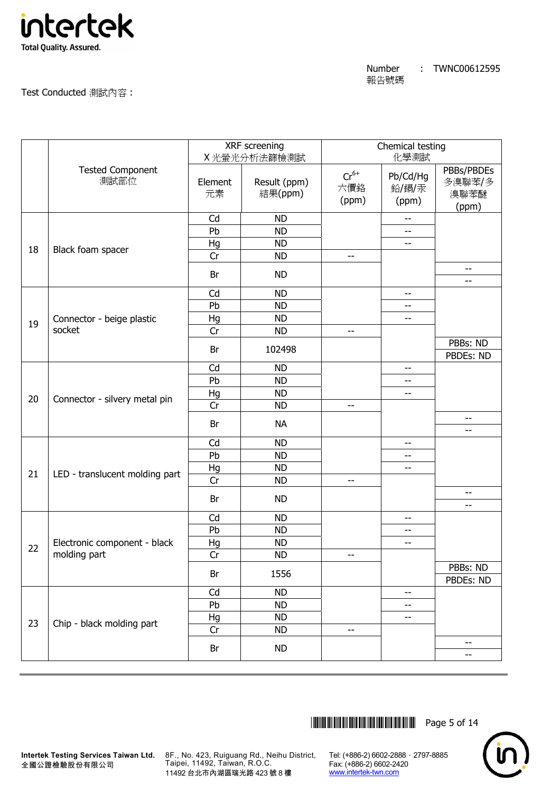

Test Conducted 測試內容 :

|    |                                 |               | XRF screening<br>X光螢光分析法篩檢測試 | Chemical testing<br>化學測試  |                            |                                       |
|----|---------------------------------|---------------|------------------------------|---------------------------|----------------------------|---------------------------------------|
|    | <b>Tested Component</b><br>測試部位 | Element<br>元素 | Result (ppm)<br>結果(ppm)      | $Cr^{6+}$<br>六價鉻<br>(ppm) | Pb/Cd/Hg<br>鉛/鎘/汞<br>(ppm) | PBBs/PBDEs<br>多溴聯苯/多<br>溴聯苯醚<br>(ppm) |
|    |                                 | Cd            | <b>ND</b>                    |                           | $-$                        |                                       |
|    |                                 | Pb            | <b>ND</b>                    |                           | --                         |                                       |
| 18 | Black foam spacer               | Hg            | <b>ND</b>                    |                           | --                         |                                       |
|    |                                 | Cr            | <b>ND</b>                    | $-$                       |                            |                                       |
|    |                                 | Br            | <b>ND</b>                    |                           |                            | $- -$<br>--                           |
|    |                                 | Cd            | <b>ND</b>                    |                           | --                         |                                       |
|    |                                 | Pb            | <b>ND</b>                    |                           | --                         |                                       |
|    | Connector - beige plastic       | Hg            | <b>ND</b>                    |                           | --                         |                                       |
| 19 | socket                          | Cr            | <b>ND</b>                    | --                        |                            |                                       |
|    |                                 |               |                              |                           |                            | PBBs: ND                              |
|    |                                 | Br            | 102498                       |                           |                            | PBDEs: ND                             |
|    |                                 | Cd            | <b>ND</b>                    |                           | --                         |                                       |
|    |                                 | Pb            | <b>ND</b>                    |                           | $-$                        |                                       |
| 20 |                                 | Hg            | <b>ND</b>                    |                           | --                         |                                       |
|    | Connector - silvery metal pin   | Cr            | <b>ND</b>                    | $-$                       |                            |                                       |
|    |                                 | Br            | <b>NA</b>                    |                           |                            | $-$<br>$-$                            |
|    |                                 | Cd            | <b>ND</b>                    |                           | --                         |                                       |
|    |                                 | Pb            | <b>ND</b>                    |                           | --                         |                                       |
|    |                                 | Hg            | <b>ND</b>                    |                           | --                         |                                       |
| 21 | LED - translucent molding part  | Cr            | <b>ND</b>                    | --                        |                            |                                       |
|    |                                 |               |                              |                           |                            | $- -$                                 |
|    |                                 | Br            | <b>ND</b>                    |                           |                            | --                                    |
|    |                                 | Cd            | <b>ND</b>                    |                           | --                         |                                       |
|    |                                 | Pb            | <b>ND</b>                    |                           | --                         |                                       |
|    | Electronic component - black    | Hg            | <b>ND</b>                    |                           | $-$                        |                                       |
| 22 | molding part                    | Cr            | <b>ND</b>                    | --                        |                            |                                       |
|    |                                 | Br            | 1556                         |                           |                            | PBBs: ND<br>PBDEs: ND                 |
|    |                                 | Cd            | <b>ND</b>                    |                           | --                         |                                       |
|    |                                 | Pb            | <b>ND</b>                    |                           | --                         |                                       |
|    |                                 | Hg            | <b>ND</b>                    |                           | --                         |                                       |
| 23 | Chip - black molding part       | Cr            | <b>ND</b>                    | --                        |                            |                                       |
|    |                                 | Br            | <b>ND</b>                    |                           |                            | --<br>--                              |
|    |                                 |               |                              |                           |                            |                                       |

\*THJ0612595\* Page 5 of 14



**Intertek Testing Services Taiwan Ltd.** 8F., No. 423, Ruiguang Rd., Neihu District, Taipei, 11492, Taiwan, R.O.C. 11492 台北市內湖區瑞光路 423 號 8 樓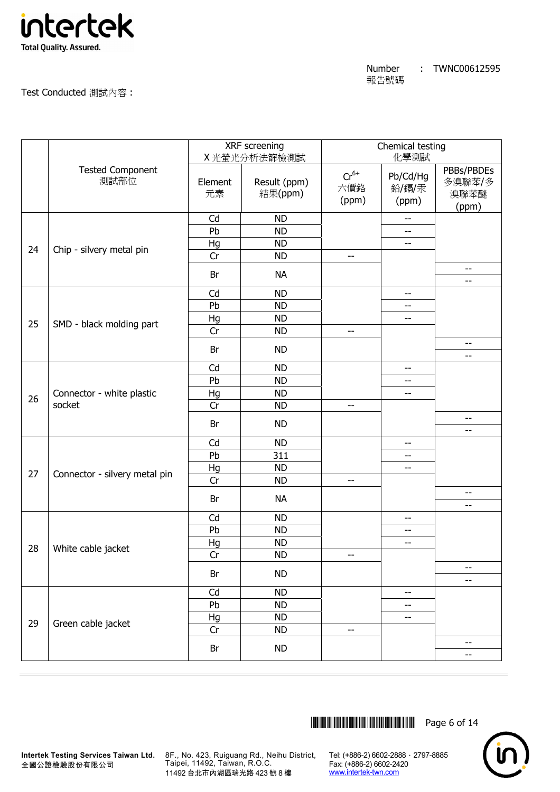

Test Conducted 測試內容 :

|    |                                 |               | XRF screening<br>X光螢光分析法篩檢測試 | Chemical testing<br>化學測試  |                            |                                       |
|----|---------------------------------|---------------|------------------------------|---------------------------|----------------------------|---------------------------------------|
|    | <b>Tested Component</b><br>測試部位 | Element<br>元素 | Result (ppm)<br>結果(ppm)      | $Cr^{6+}$<br>六價鉻<br>(ppm) | Pb/Cd/Hg<br>鉛/鎘/汞<br>(ppm) | PBBs/PBDEs<br>多溴聯苯/多<br>溴聯苯醚<br>(ppm) |
|    |                                 | Cd            | <b>ND</b>                    |                           | $- -$                      |                                       |
|    |                                 | Pb            | <b>ND</b>                    |                           | --                         |                                       |
| 24 | Chip - silvery metal pin        | Hg            | <b>ND</b>                    |                           | --                         |                                       |
|    |                                 | Cr            | <b>ND</b>                    | $\overline{\phantom{a}}$  |                            |                                       |
|    |                                 | Br            | <b>NA</b>                    |                           |                            | $ \!-$<br>--                          |
|    |                                 | Cd            | <b>ND</b>                    |                           | $\overline{\phantom{a}}$   |                                       |
|    |                                 | Pb            | <b>ND</b>                    |                           | --                         |                                       |
|    |                                 | Hg            | <b>ND</b>                    |                           | $-$                        |                                       |
| 25 | SMD - black molding part        | Cr            | <b>ND</b>                    | $-$                       |                            |                                       |
|    |                                 | Br            | <b>ND</b>                    |                           |                            | $-\!$<br>--                           |
|    |                                 | Cd            | <b>ND</b>                    |                           | --                         |                                       |
|    |                                 | Pb            | <b>ND</b>                    |                           | --                         |                                       |
|    | Connector - white plastic       | Hg            | <b>ND</b>                    |                           | --                         |                                       |
| 26 | socket                          | Cr            | <b>ND</b>                    | $- -$                     |                            |                                       |
|    |                                 | Br            | <b>ND</b>                    |                           |                            | --<br>--                              |
|    |                                 | Cd            | <b>ND</b>                    |                           | $-$                        |                                       |
|    |                                 | Pb            | 311                          |                           | --                         |                                       |
|    |                                 | Hg            | <b>ND</b>                    |                           | --                         |                                       |
| 27 | Connector - silvery metal pin   | Cr            | <b>ND</b>                    | $\overline{\phantom{a}}$  |                            |                                       |
|    |                                 | Br            | <b>NA</b>                    |                           |                            | --                                    |
|    |                                 | Cd            | <b>ND</b>                    |                           | $-$                        | $ \!-$                                |
|    |                                 | Pb            | <b>ND</b>                    |                           | $- -$                      |                                       |
|    |                                 | Hg            | <b>ND</b>                    |                           | --                         |                                       |
| 28 | White cable jacket              | Cr            | <b>ND</b>                    | $-$                       |                            |                                       |
|    |                                 | Br            | <b>ND</b>                    |                           |                            | $\overline{\phantom{m}}$              |
|    |                                 |               |                              |                           |                            | --                                    |
|    |                                 | Cd            | <b>ND</b>                    |                           | --                         |                                       |
|    |                                 | Pb            | <b>ND</b>                    |                           | --                         |                                       |
| 29 | Green cable jacket              | Hg            | <b>ND</b>                    |                           | --                         |                                       |
|    |                                 | Cr            | <b>ND</b>                    | $-$                       |                            |                                       |
|    |                                 | Br            | <b>ND</b>                    |                           |                            | $-\!$<br>$ \!-$                       |
|    |                                 |               |                              |                           |                            |                                       |



**Intertek Testing Services Taiwan Ltd.** 8F., No. 423, Ruiguang Rd., Neihu District, Taipei, 11492, Taiwan, R.O.C. 11492 台北市內湖區瑞光路 423 號 8 樓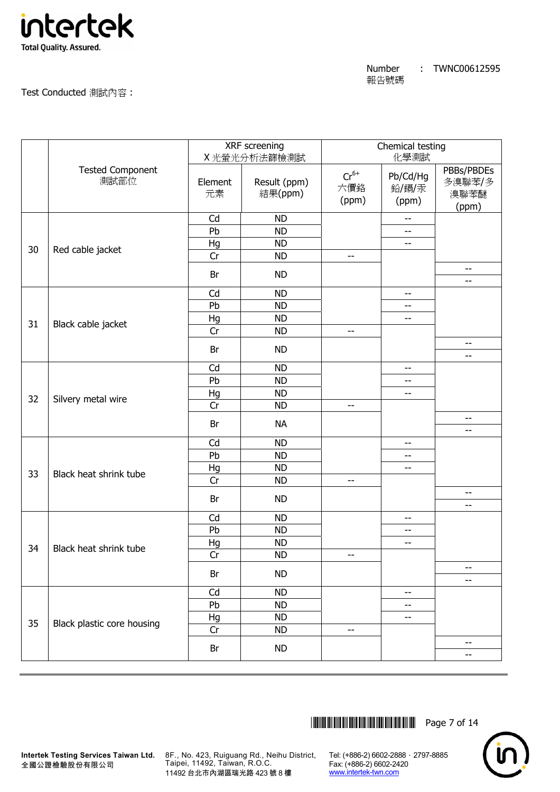

Test Conducted 測試內容 :

|    |                                 | XRF screening<br>X光螢光分析法篩檢測試 |                         | Chemical testing<br>化學測試  |                            |                                       |
|----|---------------------------------|------------------------------|-------------------------|---------------------------|----------------------------|---------------------------------------|
|    | <b>Tested Component</b><br>測試部位 | Element<br>元素                | Result (ppm)<br>結果(ppm) | $Cr^{6+}$<br>六價鉻<br>(ppm) | Pb/Cd/Hg<br>鉛/鎘/汞<br>(ppm) | PBBs/PBDEs<br>多溴聯苯/多<br>溴聯苯醚<br>(ppm) |
|    |                                 | Cd                           | <b>ND</b>               |                           | --                         |                                       |
|    |                                 | Pb                           | <b>ND</b>               |                           | --                         |                                       |
| 30 | Red cable jacket                | Hg                           | <b>ND</b>               |                           | --                         |                                       |
|    |                                 | Cr                           | <b>ND</b>               | $\overline{\phantom{a}}$  |                            |                                       |
|    |                                 | Br                           | <b>ND</b>               |                           |                            | $\overline{\phantom{m}}$<br>--        |
|    |                                 | Cd                           | <b>ND</b>               |                           | $\overline{\phantom{a}}$   |                                       |
|    |                                 | Pb                           | <b>ND</b>               |                           | --                         |                                       |
|    |                                 | Hg                           | <b>ND</b>               |                           | $-$                        |                                       |
| 31 | Black cable jacket              | Cr                           | <b>ND</b>               | $-$                       |                            |                                       |
|    |                                 | Br                           | <b>ND</b>               |                           |                            | $-\!$<br>--                           |
|    |                                 | Cd                           | <b>ND</b>               |                           | --                         |                                       |
|    |                                 | Pb                           | <b>ND</b>               |                           | --                         |                                       |
|    |                                 | Hg                           | <b>ND</b>               |                           | --                         |                                       |
| 32 | Silvery metal wire              | Cr                           | <b>ND</b>               | $- -$                     |                            |                                       |
|    |                                 |                              |                         |                           |                            | $-$                                   |
|    |                                 | Br                           | <b>NA</b>               |                           |                            | --                                    |
|    |                                 | Cd                           | <b>ND</b>               |                           | $-$                        |                                       |
|    |                                 | Pb                           | <b>ND</b>               |                           | --                         |                                       |
|    |                                 | Hg                           | <b>ND</b>               |                           | --                         |                                       |
| 33 | Black heat shrink tube          | Cr                           | <b>ND</b>               | $\overline{\phantom{a}}$  |                            |                                       |
|    |                                 | Br                           | <b>ND</b>               |                           |                            | --<br>$-$                             |
|    |                                 | Cd                           | <b>ND</b>               |                           | $-$                        |                                       |
|    |                                 | Pb                           | <b>ND</b>               |                           | --                         |                                       |
|    |                                 | Hg                           | <b>ND</b>               |                           | --                         |                                       |
| 34 | Black heat shrink tube          | Cr                           | <b>ND</b>               | $-$                       |                            |                                       |
|    |                                 |                              |                         |                           |                            | $\overline{\phantom{m}}$              |
|    |                                 | Br                           | <b>ND</b>               |                           |                            | --                                    |
|    |                                 | Cd                           | <b>ND</b>               |                           | --                         |                                       |
|    |                                 | Pb                           | <b>ND</b>               |                           | --                         |                                       |
| 35 | Black plastic core housing      | Hg                           | <b>ND</b>               |                           | --                         |                                       |
|    |                                 | Cr                           | <b>ND</b>               | $-$                       |                            |                                       |
|    |                                 | Br                           | <b>ND</b>               |                           |                            | $- -$<br>$ \!-$                       |
|    |                                 |                              |                         |                           |                            |                                       |



**Intertek Testing Services Taiwan Ltd.** 8F., No. 423, Ruiguang Rd., Neihu District, Taipei, 11492, Taiwan, R.O.C. 11492 台北市內湖區瑞光路 423 號 8 樓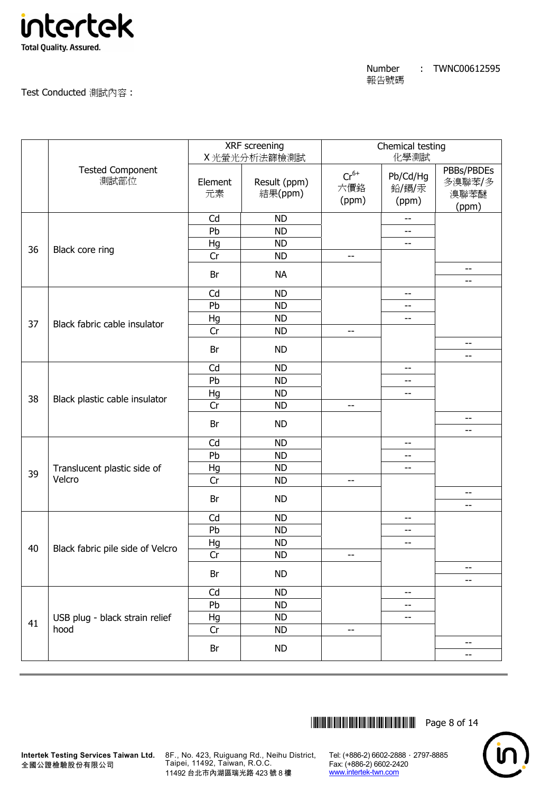

Test Conducted 測試內容 :

|    |                                        |               | XRF screening<br>X光螢光分析法篩檢測試 | Chemical testing<br>化學測試  |                            |                                       |
|----|----------------------------------------|---------------|------------------------------|---------------------------|----------------------------|---------------------------------------|
|    | <b>Tested Component</b><br>測試部位        | Element<br>元素 | Result (ppm)<br>結果(ppm)      | $Cr^{6+}$<br>六價鉻<br>(ppm) | Pb/Cd/Hg<br>鉛/鎘/汞<br>(ppm) | PBBs/PBDEs<br>多溴聯苯/多<br>溴聯苯醚<br>(ppm) |
|    |                                        | Cd            | <b>ND</b>                    |                           | --                         |                                       |
|    |                                        | Pb            | <b>ND</b>                    |                           | $-$                        |                                       |
| 36 | Black core ring                        | Hg            | <b>ND</b>                    |                           | --                         |                                       |
|    |                                        | Cr            | <b>ND</b>                    | $-$                       |                            |                                       |
|    |                                        | Br            | <b>NA</b>                    |                           |                            | $-$<br>$\overline{\phantom{m}}$       |
|    |                                        | Cd            | <b>ND</b>                    |                           | --                         |                                       |
|    |                                        | Pb            | <b>ND</b>                    |                           | --                         |                                       |
|    |                                        | Hg            | <b>ND</b>                    |                           | --                         |                                       |
| 37 | Black fabric cable insulator           | Cr            | <b>ND</b>                    | $\overline{\phantom{m}}$  |                            |                                       |
|    |                                        | Br            | <b>ND</b>                    |                           |                            | $\overline{\phantom{a}}$<br>$-$       |
|    |                                        | Cd            | <b>ND</b>                    |                           | --                         |                                       |
|    |                                        | Pb            | <b>ND</b>                    |                           | --                         |                                       |
|    |                                        | Hg            | <b>ND</b>                    |                           | --                         |                                       |
| 38 | Black plastic cable insulator          | Cr            | <b>ND</b>                    | $\overline{\phantom{m}}$  |                            |                                       |
|    |                                        |               |                              |                           |                            | $-$                                   |
|    |                                        | Br            | <b>ND</b>                    |                           |                            | $\overline{\phantom{m}}$              |
|    |                                        | Cd            | <b>ND</b>                    |                           | --                         |                                       |
|    |                                        | Pb            | <b>ND</b>                    |                           | --                         |                                       |
| 39 | Translucent plastic side of            | Hg            | <b>ND</b>                    |                           | --                         |                                       |
|    | Velcro                                 | Cr            | <b>ND</b>                    | $\overline{\phantom{m}}$  |                            |                                       |
|    |                                        | Br            | <b>ND</b>                    |                           |                            | --<br>--                              |
|    |                                        | Cd            | <b>ND</b>                    |                           | --                         |                                       |
|    |                                        | Pb            | <b>ND</b>                    |                           | --                         |                                       |
|    |                                        | Hg            | <b>ND</b>                    |                           | --                         |                                       |
| 40 | Black fabric pile side of Velcro       | Cr            | <b>ND</b>                    | --                        |                            |                                       |
|    |                                        | Br            | <b>ND</b>                    |                           |                            | --                                    |
|    |                                        |               |                              |                           |                            | $-$                                   |
|    |                                        | Cd            | <b>ND</b>                    |                           | --                         |                                       |
|    |                                        | Pb            | <b>ND</b>                    |                           | --                         |                                       |
| 41 | USB plug - black strain relief<br>hood | Hg            | <b>ND</b>                    |                           | --                         |                                       |
|    |                                        | Cr            | <b>ND</b>                    | $-$                       |                            | --                                    |
|    |                                        | Br            | <b>ND</b>                    |                           |                            | --                                    |



**Intertek Testing Services Taiwan Ltd.** 8F., No. 423, Ruiguang Rd., Neihu District, Taipei, 11492, Taiwan, R.O.C. 11492 台北市內湖區瑞光路 423 號 8 樓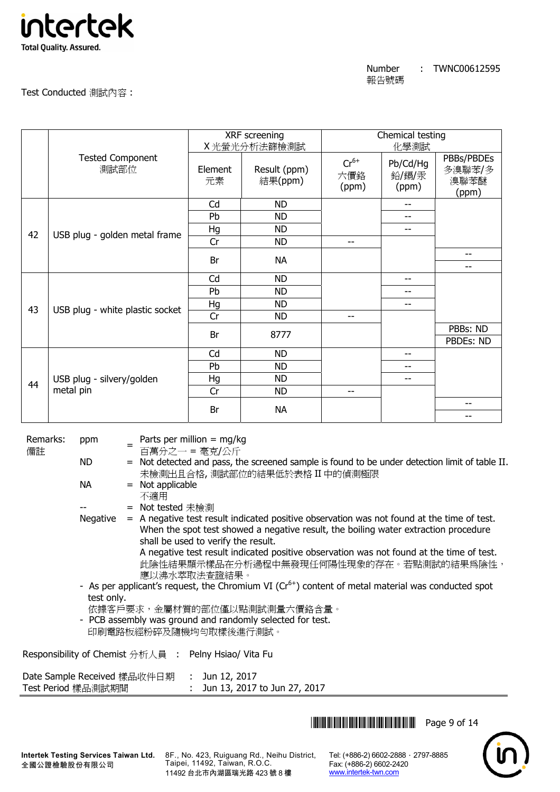

| Number | TWNC00612595 |
|--------|--------------|
| 報告號碼   |              |

# Test Conducted 測試內容 :

|    |                                 |               | XRF screening<br>X光螢光分析法篩檢測試 |                           | Chemical testing<br>化學測試   |                                       |  |
|----|---------------------------------|---------------|------------------------------|---------------------------|----------------------------|---------------------------------------|--|
|    | <b>Tested Component</b><br>測試部位 | Element<br>元素 | Result (ppm)<br>結果(ppm)      | $Cr^{6+}$<br>六價鉻<br>(ppm) | Pb/Cd/Hg<br>鉛/鎘/汞<br>(ppm) | PBBs/PBDEs<br>多溴聯苯/多<br>溴聯苯醚<br>(ppm) |  |
|    |                                 | Cd            | <b>ND</b>                    |                           | $-$                        |                                       |  |
|    |                                 | Pb            | <b>ND</b>                    |                           | --                         |                                       |  |
| 42 | USB plug - golden metal frame   | Hg            | <b>ND</b>                    |                           | --                         |                                       |  |
|    |                                 | Cr            | <b>ND</b>                    | $-$                       |                            |                                       |  |
|    |                                 | Br            | <b>NA</b>                    |                           |                            | --                                    |  |
|    |                                 |               |                              |                           |                            | $\overline{\phantom{a}}$              |  |
|    |                                 | Cd            | <b>ND</b>                    |                           | --                         |                                       |  |
|    |                                 | Pb            | <b>ND</b>                    |                           | --                         |                                       |  |
| 43 | USB plug - white plastic socket | Hg            | <b>ND</b>                    |                           | --                         |                                       |  |
|    |                                 | Cr            | <b>ND</b>                    | $-$                       |                            |                                       |  |
|    |                                 | Br            | 8777                         |                           |                            | PBBs: ND                              |  |
|    |                                 |               |                              |                           |                            | PBDEs: ND                             |  |
|    |                                 | Cd            | <b>ND</b>                    |                           | --                         |                                       |  |
|    |                                 | Pb            | <b>ND</b>                    |                           | --                         |                                       |  |
| 44 | USB plug - silvery/golden       | Hg            | <b>ND</b>                    |                           | --                         |                                       |  |
|    | metal pin                       | Cr            | <b>ND</b>                    | $-$                       |                            |                                       |  |
|    |                                 | Br            | <b>NA</b>                    |                           |                            | --<br>--                              |  |

Remarks: 備註

ppm = Parts per million = mg/kg

百萬分之一 = 毫克/公斤

ND = Not detected and pass, the screened sample is found to be under detection limit of table II. 未檢測出且合格, 測試部位的結果低於表格 II 中的偵測極限

- $NA$  = Not applicable
	- 不適用
	- = Not tested 未檢測
- Negative  $=$  A negative test result indicated positive observation was not found at the time of test. When the spot test showed a negative result, the boiling water extraction procedure shall be used to verify the result. A negative test result indicated positive observation was not found at the time of test. 此陰性結果顯示樣品在分析過程中無發現任何陽性現象的存在。若點測試的結果為陰性,
	- 應以沸水萃取法查證結果。
- As per applicant's request, the Chromium VI ( $Cr<sup>6+</sup>$ ) content of metal material was conducted spot test only.
- 依據客戶要求,金屬材質的部位僅以點測試測量六價鉻含量。
- PCB assembly was ground and randomly selected for test.

印刷電路板經粉碎及隨機均勻取樣後進行測試。

Responsibility of Chemist 分析人員 : Pelny Hsiao/ Vita Fu

Date Sample Received 樣品收件日期 : Jun 12, 2017 Test Period 樣品測試期間 : Jun 13, 2017 to Jun 27, 2017

**THEFT THEFT IN THE THEFT THE TELL Page 9 of 14** 



8F., No. 423, Ruiguang Rd., Neihu District, Taipei, 11492, Taiwan, R.O.C. 11492 台北市內湖區瑞光路 423 號 8 樓

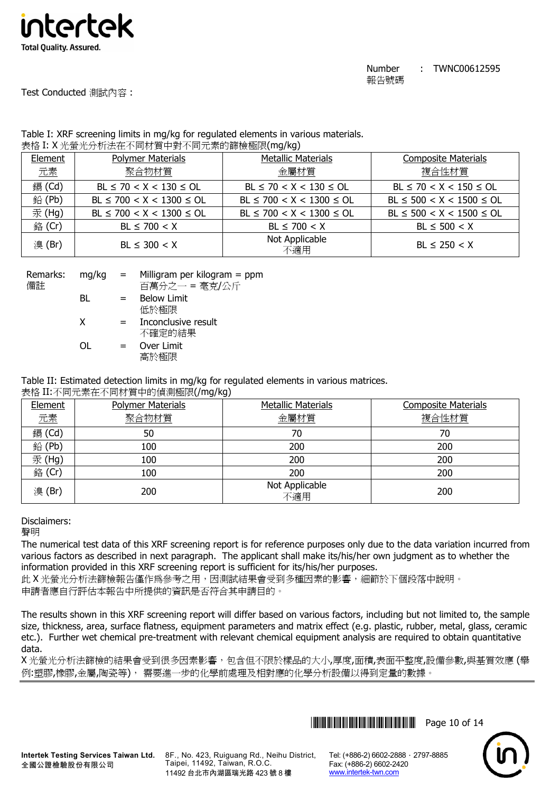

Test Conducted 測試內容 :

# Table I: XRF screening limits in mg/kg for regulated elements in various materials. 表格 I: X 光螢光分析法在不同材質中對不同元素的篩檢極限(mg/kg)

|         | 3010 ** ^ 儿虫儿儿 #11411 + 1742 只 + 丸 + 17/U示HJ删W全队 ***97 |                                |                                |  |  |  |  |  |  |
|---------|--------------------------------------------------------|--------------------------------|--------------------------------|--|--|--|--|--|--|
| Element | <b>Polymer Materials</b>                               | <b>Metallic Materials</b>      | <b>Composite Materials</b>     |  |  |  |  |  |  |
| 元素      | 聚合物材質                                                  | 金屬材質                           | 複合性材質                          |  |  |  |  |  |  |
| 鎘 (Cd)  | $BL \le 70 < X < 130 \le OL$                           | $BL \le 70 < X < 130 \le OL$   | $BL \le 70 < X < 150 \le OL$   |  |  |  |  |  |  |
| 鉛(Pb)   | $BL \le 700 < X < 1300 \le OL$                         | $BL \le 700 < X < 1300 \le OL$ | $BL \le 500 < X < 1500 \le OL$ |  |  |  |  |  |  |
| 汞 (Hg)  | $BL \le 700 < X < 1300 \le OL$                         | $BL \le 700 < X < 1300 \le OL$ | $BL \le 500 < X < 1500 \le OL$ |  |  |  |  |  |  |
| 銘 (Cr)  | $BL \le 700 < X$                                       | $BL \le 700 < X$               | $BL \le 500 < X$               |  |  |  |  |  |  |
| 溴(Br)   | $BL \leq 300 < X$                                      | Not Applicable<br>不適用          | $BL \le 250 < X$               |  |  |  |  |  |  |

| Remarks: | mg/kg | $=$ | Milligram per kilogram $=$ ppm |
|----------|-------|-----|--------------------------------|
| 備註       |       |     | 百萬分之一 = 毫克/公斤                  |
|          | BL    | $=$ | <b>Below Limit</b>             |
|          |       |     | 低於極限                           |
|          | X     | $=$ | Inconclusive result            |
|          |       |     | 不確定的結果                         |
|          | ΩL    | $=$ | Over Limit                     |
|          |       |     | 高於極限                           |

Table II: Estimated detection limits in mg/kg for regulated elements in various matrices.

# 表格 II:不同元素在不同材質中的偵測極限(/mg/kg)

| Element | <b>Polymer Materials</b> | <b>Metallic Materials</b> | <b>Composite Materials</b> |
|---------|--------------------------|---------------------------|----------------------------|
| 元素      | 聚合物材質                    | 金屬材質                      | 複合性材質                      |
| 鎘 (Cd)  | 50                       | 70                        | 70                         |
| 鉛(Pb)   | 100                      | 200                       | 200                        |
| 汞(Hg)   | 100                      | 200                       | 200                        |
| 銘 (Cr)  | 100                      | 200                       | 200                        |
| 溴(Br)   | 200                      | Not Applicable<br>不適用     | 200                        |

# Disclaimers:

聲明

The numerical test data of this XRF screening report is for reference purposes only due to the data variation incurred from various factors as described in next paragraph. The applicant shall make its/his/her own judgment as to whether the information provided in this XRF screening report is sufficient for its/his/her purposes.

此 X 光螢光分析法篩檢報告僅作為參考之用, 因測試結果會受到多種因素的影響, 細節於下個段落中說明。 申請者應自行評估本報告中所提供的資訊是否符合其申請目的。

The results shown in this XRF screening report will differ based on various factors, including but not limited to, the sample size, thickness, area, surface flatness, equipment parameters and matrix effect (e.g. plastic, rubber, metal, glass, ceramic etc.). Further wet chemical pre-treatment with relevant chemical equipment analysis are required to obtain quantitative data.

X 光螢光分析法篩檢的結果會受到很多因素影響,包含但不限於樣品的大小,厚度,面積,表面平整度,設備參數,與基質效應 (舉 例:塑膠,橡膠,金屬,陶瓷等), 需要進一步的化學前處理及相對應的化學分析設備以得到定量的數據。





8F., No. 423, Ruiguang Rd., Neihu District, Taipei, 11492, Taiwan, R.O.C. 11492 台北市內湖區瑞光路 423 號 8 樓

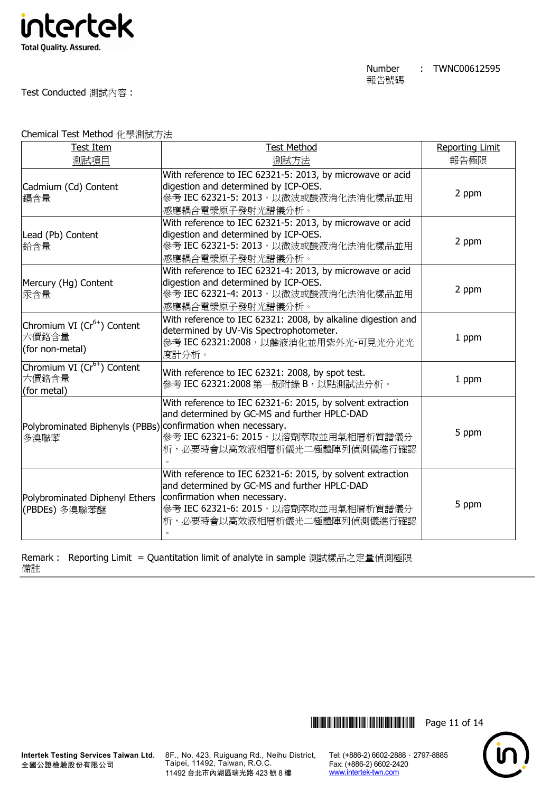

Test Conducted 測試內容 :

Chemical Test Method 化學測試方法

| Test Item                                                           | <b>Test Method</b>                                                                                                                                                                                                 | <b>Reporting Limit</b> |
|---------------------------------------------------------------------|--------------------------------------------------------------------------------------------------------------------------------------------------------------------------------------------------------------------|------------------------|
| 測試項目                                                                | 測試方法                                                                                                                                                                                                               | 報告極限                   |
| Cadmium (Cd) Content<br>鎘含量                                         | With reference to IEC 62321-5: 2013, by microwave or acid<br>digestion and determined by ICP-OES.<br>參考 IEC 62321-5: 2013, 以微波或酸液消化法消化樣品並用<br>感應耦合電漿原子發射光譜儀分析。                                                     | 2 ppm                  |
| Lead (Pb) Content<br>鉛含量                                            | With reference to IEC 62321-5: 2013, by microwave or acid<br>digestion and determined by ICP-OES.<br>參考 IEC 62321-5: 2013, 以微波或酸液消化法消化樣品並用<br>感應耦合電漿原子發射光譜儀分析。                                                     | 2 ppm                  |
| Mercury (Hg) Content<br>汞含量                                         | With reference to IEC 62321-4: 2013, by microwave or acid<br>digestion and determined by ICP-OES.<br>參考 IEC 62321-4: 2013, 以微波或酸液消化法消化樣品並用<br>感應耦合電漿原子發射光譜儀分析。                                                     | 2 ppm                  |
| Chromium VI (Cr <sup>6+</sup> ) Content<br>六價鉻含量<br>(for non-metal) | With reference to IEC 62321: 2008, by alkaline digestion and<br>determined by UV-Vis Spectrophotometer.<br>參考 IEC 62321:2008,以鹼液消化並用紫外光-可見光分光光<br>度計分析。                                                            | 1 ppm                  |
| Chromium VI (Cr <sup>6+</sup> ) Content<br>六價鉻含量<br>(for metal)     | With reference to IEC 62321: 2008, by spot test.<br>參考 IEC 62321:2008 第一版附錄 B, 以點測試法分析。                                                                                                                            | 1 ppm                  |
| Polybrominated Biphenyls (PBBs)<br>多溴聯苯                             | With reference to IEC 62321-6: 2015, by solvent extraction<br>and determined by GC-MS and further HPLC-DAD<br>confirmation when necessary.<br>參考 IEC 62321-6: 2015, 以溶劑萃取並用氣相層析質譜儀分<br>析,必要時會以高效液相層析儀光二極體陣列偵測儀進行確認 | 5 ppm                  |
| Polybrominated Diphenyl Ethers<br>(PBDEs) 多溴聯苯醚                     | With reference to IEC 62321-6: 2015, by solvent extraction<br>and determined by GC-MS and further HPLC-DAD<br>confirmation when necessary.<br>參考 IEC 62321-6: 2015, 以溶劑萃取並用氣相層析質譜儀分<br>析,必要時會以高效液相層析儀光二極體陣列偵測儀進行確認 | 5 ppm                  |

Remark : Reporting Limit = Quantitation limit of analyte in sample 測試樣品之定量偵測極限 備註

8F., No. 423, Ruiguang Rd., Neihu District, Taipei, 11492, Taiwan, R.O.C. 11492 台北市內湖區瑞光路 423 號 8 樓

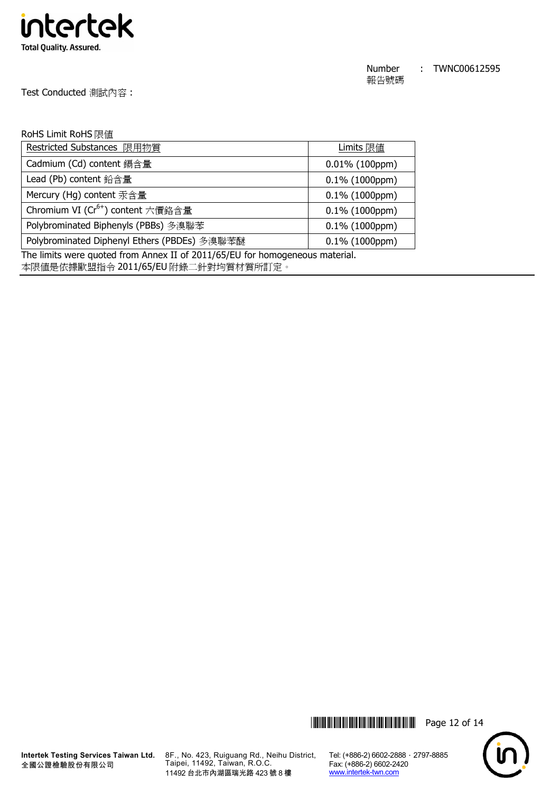

Test Conducted 測試內容 :

### RoHS Limit RoHS 限值

| Restricted Substances 限用物質                    | Limits 限值         |
|-----------------------------------------------|-------------------|
| Cadmium (Cd) content 鎘含量                      | $0.01\%$ (100ppm) |
| Lead (Pb) content 鉛含量                         | $0.1\%$ (1000ppm) |
| Mercury (Hg) content 汞含量                      | $0.1\%$ (1000ppm) |
| Chromium VI (Cr <sup>6+</sup> ) content 六價鉻含量 | $0.1\%$ (1000ppm) |
| Polybrominated Biphenyls (PBBs) 多溴聯苯          | $0.1\%$ (1000ppm) |
| Polybrominated Diphenyl Ethers (PBDEs) 多溴聯苯醚  | $0.1\%$ (1000ppm) |

The limits were quoted from Annex II of 2011/65/EU for homogeneous material.

本限值是依據歐盟指令 2011/65/EU 附錄二針對均質材質所訂定。



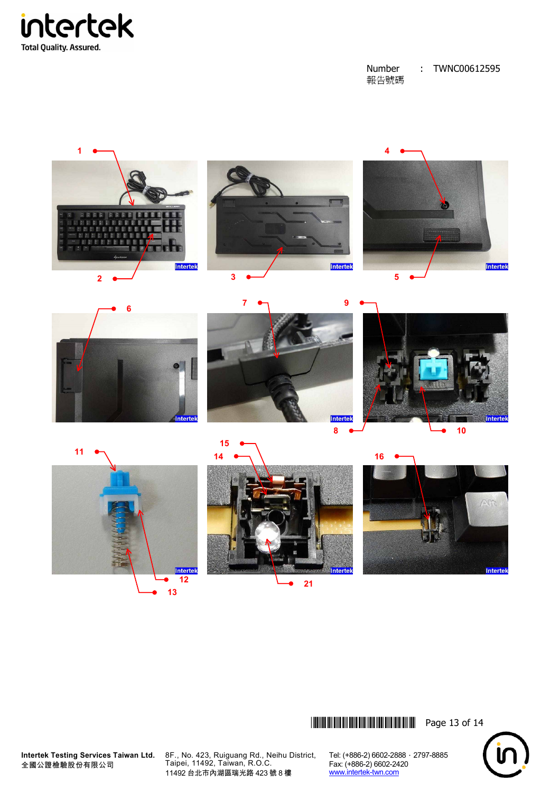



\*THJ0612595\* Page 13 of 14



**Intertek Testing Services Taiwan Ltd.** 全國公證檢驗股份有限公司

8F., No. 423, Ruiguang Rd., Neihu District, Taipei, 11492, Taiwan, R.O.C. 11492 台北市內湖區瑞光路 423 號 8 樓